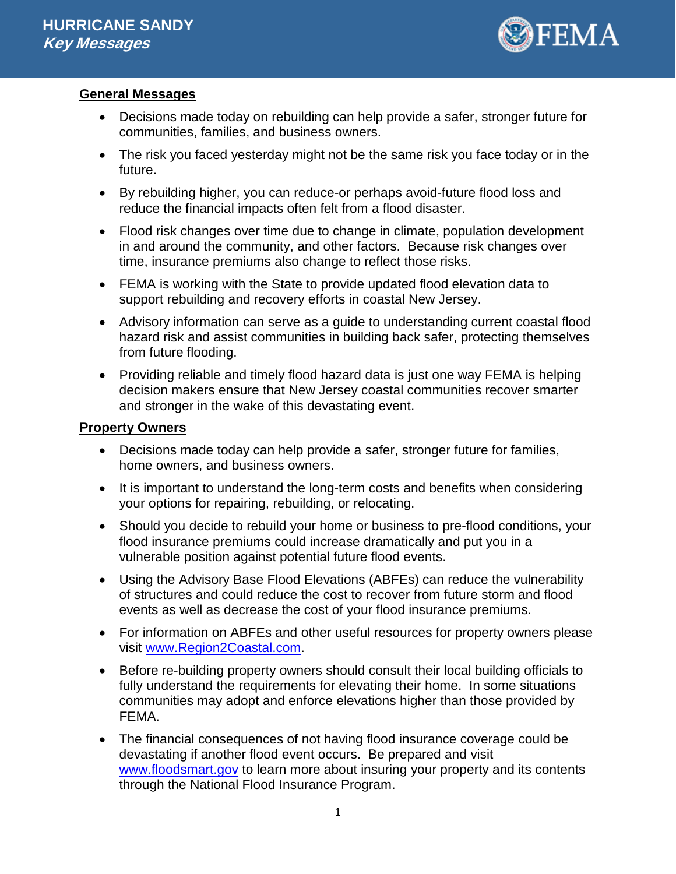

# **General Messages**

- Decisions made today on rebuilding can help provide a safer, stronger future for communities, families, and business owners.
- The risk you faced yesterday might not be the same risk you face today or in the future.
- By rebuilding higher, you can reduce-or perhaps avoid-future flood loss and reduce the financial impacts often felt from a flood disaster.
- Flood risk changes over time due to change in climate, population development in and around the community, and other factors. Because risk changes over time, insurance premiums also change to reflect those risks.
- FEMA is working with the State to provide updated flood elevation data to support rebuilding and recovery efforts in coastal New Jersey.
- Advisory information can serve as a guide to understanding current coastal flood hazard risk and assist communities in building back safer, protecting themselves from future flooding.
- Providing reliable and timely flood hazard data is just one way FEMA is helping decision makers ensure that New Jersey coastal communities recover smarter and stronger in the wake of this devastating event.

## **Property Owners**

- Decisions made today can help provide a safer, stronger future for families, home owners, and business owners.
- It is important to understand the long-term costs and benefits when considering your options for repairing, rebuilding, or relocating.
- Should you decide to rebuild your home or business to pre-flood conditions, your flood insurance premiums could increase dramatically and put you in a vulnerable position against potential future flood events.
- Using the Advisory Base Flood Elevations (ABFEs) can reduce the vulnerability of structures and could reduce the cost to recover from future storm and flood events as well as decrease the cost of your flood insurance premiums.
- For information on ABFEs and other useful resources for property owners please visit [www.Region2Coastal.com.](http://www.region2coastal.com/)
- Before re-building property owners should consult their local building officials to fully understand the requirements for elevating their home. In some situations communities may adopt and enforce elevations higher than those provided by FEMA.
- The financial consequences of not having flood insurance coverage could be devastating if another flood event occurs. Be prepared and visit [www.floodsmart.gov](http://www.floodsmart.gov/) to learn more about insuring your property and its contents through the National Flood Insurance Program.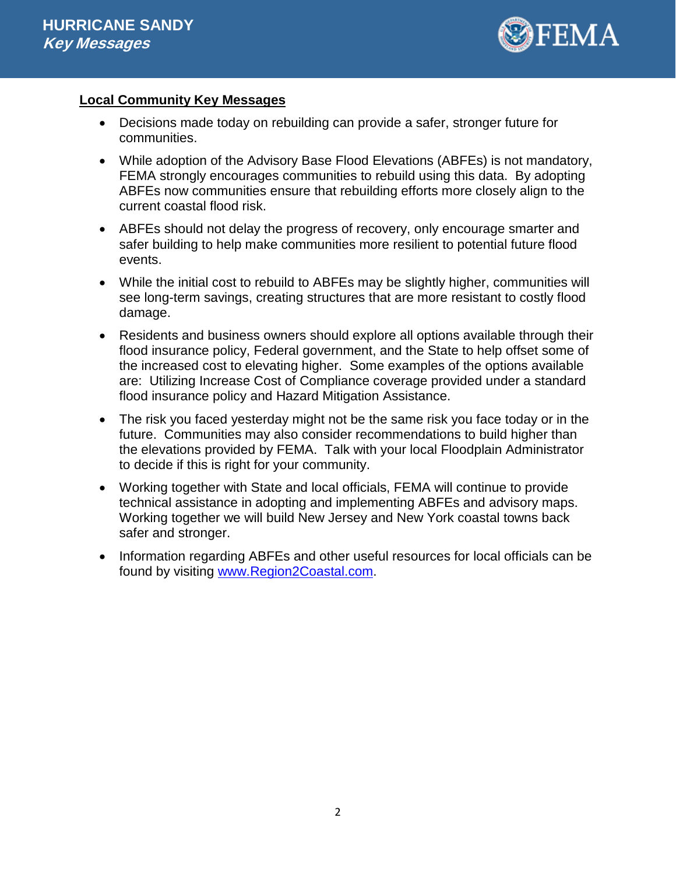

## **Local Community Key Messages**

- Decisions made today on rebuilding can provide a safer, stronger future for communities.
- While adoption of the Advisory Base Flood Elevations (ABFEs) is not mandatory, FEMA strongly encourages communities to rebuild using this data. By adopting ABFEs now communities ensure that rebuilding efforts more closely align to the current coastal flood risk.
- ABFEs should not delay the progress of recovery, only encourage smarter and safer building to help make communities more resilient to potential future flood events.
- While the initial cost to rebuild to ABFEs may be slightly higher, communities will see long-term savings, creating structures that are more resistant to costly flood damage.
- Residents and business owners should explore all options available through their flood insurance policy, Federal government, and the State to help offset some of the increased cost to elevating higher. Some examples of the options available are: Utilizing Increase Cost of Compliance coverage provided under a standard flood insurance policy and Hazard Mitigation Assistance.
- The risk you faced yesterday might not be the same risk you face today or in the future. Communities may also consider recommendations to build higher than the elevations provided by FEMA. Talk with your local Floodplain Administrator to decide if this is right for your community.
- Working together with State and local officials, FEMA will continue to provide technical assistance in adopting and implementing ABFEs and advisory maps. Working together we will build New Jersey and New York coastal towns back safer and stronger.
- Information regarding ABFEs and other useful resources for local officials can be found by visiting [www.Region2Coastal.com.](http://www.region2coastal.com/)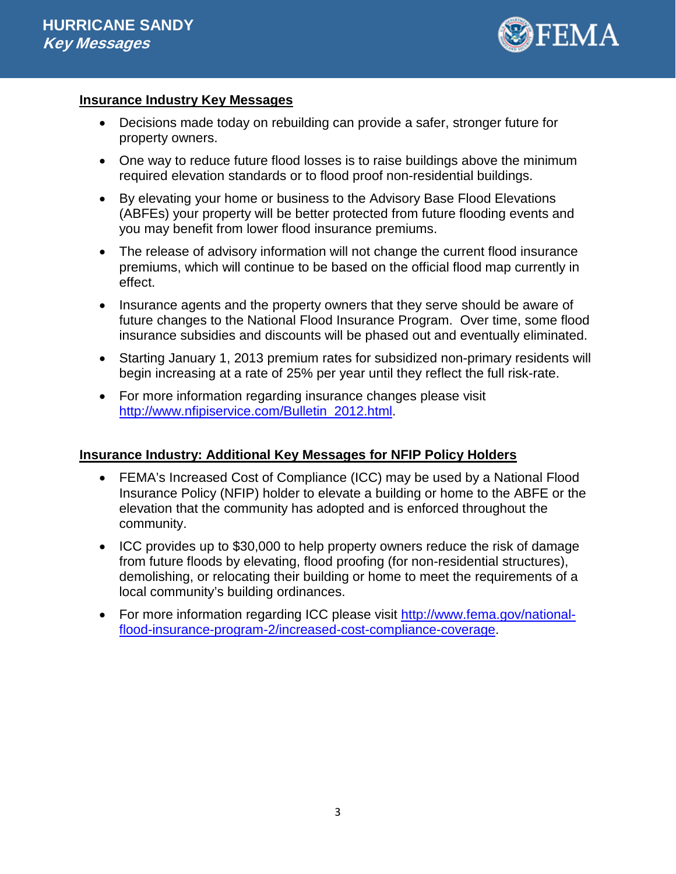

#### **Insurance Industry Key Messages**

- Decisions made today on rebuilding can provide a safer, stronger future for property owners.
- One way to reduce future flood losses is to raise buildings above the minimum required elevation standards or to flood proof non-residential buildings.
- By elevating your home or business to the Advisory Base Flood Elevations (ABFEs) your property will be better protected from future flooding events and you may benefit from lower flood insurance premiums.
- The release of advisory information will not change the current flood insurance premiums, which will continue to be based on the official flood map currently in effect.
- Insurance agents and the property owners that they serve should be aware of future changes to the National Flood Insurance Program. Over time, some flood insurance subsidies and discounts will be phased out and eventually eliminated.
- Starting January 1, 2013 premium rates for subsidized non-primary residents will begin increasing at a rate of 25% per year until they reflect the full risk-rate.
- For more information regarding insurance changes please visit [http://www.nfipiservice.com/Bulletin\\_2012.html.](http://www.nfipiservice.com/Bulletin_2012.html)

## **Insurance Industry: Additional Key Messages for NFIP Policy Holders**

- FEMA's Increased Cost of Compliance (ICC) may be used by a National Flood Insurance Policy (NFIP) holder to elevate a building or home to the ABFE or the elevation that the community has adopted and is enforced throughout the community.
- ICC provides up to \$30,000 to help property owners reduce the risk of damage from future floods by elevating, flood proofing (for non-residential structures), demolishing, or relocating their building or home to meet the requirements of a local community's building ordinances.
- For more information regarding ICC please visit [http://www.fema.gov/national](http://www.fema.gov/national-flood-insurance-program-2/increased-cost-compliance-coverage)[flood-insurance-program-2/increased-cost-compliance-coverage.](http://www.fema.gov/national-flood-insurance-program-2/increased-cost-compliance-coverage)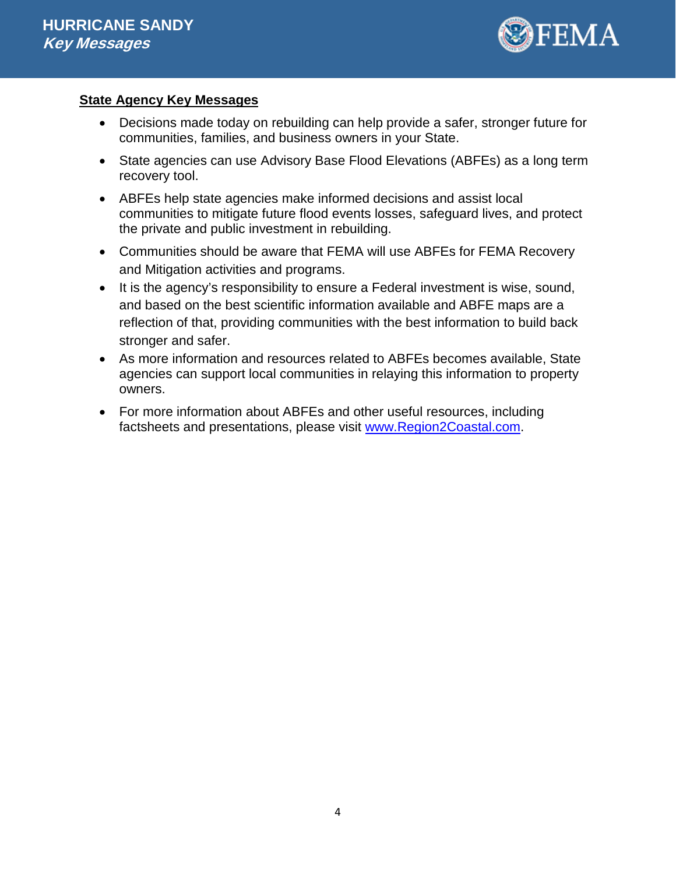

# **State Agency Key Messages**

- Decisions made today on rebuilding can help provide a safer, stronger future for communities, families, and business owners in your State.
- State agencies can use Advisory Base Flood Elevations (ABFEs) as a long term recovery tool.
- ABFEs help state agencies make informed decisions and assist local communities to mitigate future flood events losses, safeguard lives, and protect the private and public investment in rebuilding.
- Communities should be aware that FEMA will use ABFEs for FEMA Recovery and Mitigation activities and programs.
- It is the agency's responsibility to ensure a Federal investment is wise, sound, and based on the best scientific information available and ABFE maps are a reflection of that, providing communities with the best information to build back stronger and safer.
- As more information and resources related to ABFEs becomes available, State agencies can support local communities in relaying this information to property owners.
- For more information about ABFEs and other useful resources, including factsheets and presentations, please visit [www.Region2Coastal.com.](http://www.region2coastal.com/)